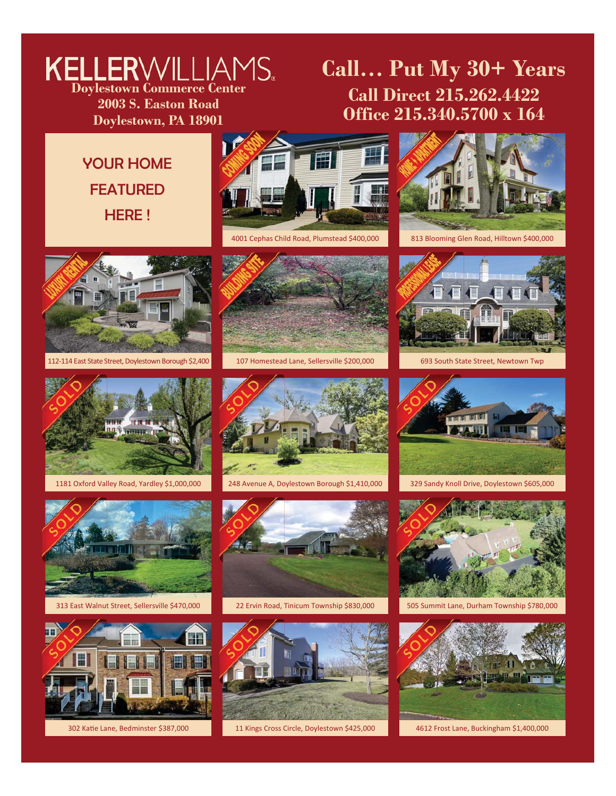## **Doylestown Commerce Center 2003 S. Easton Road**

**Doylestown, PA 18901**

### **Call… Put My 30+ Years Call Direct 215.262.4422 Office 215.340.5700 x 164**

**VOLIR HOME** FEATURED HERE !









1181 Oxford Valley Road, Yardley \$1,000,000 248 Avenue A, Doylestown Borough \$1,410,000 329 Sandy Knoll Drive, Doylestown \$605,000



313 East Walnut Street, Sellersville \$470,000 22 Ervin Road, Tinicum Township \$830,000 505 Summit Lane, Durham Township \$780,000





112-114 East State Street, Doylestown Borough \$2,400 107 Homestead Lane, Sellersville \$200,000 693 South State Street, Newtown Twp







302 Katie Lane, Bedminster \$387,000 **1989** 11 Kings Cross Circle, Doylestown \$425,000 161 4612 Frost Lane, Buckingham \$1,400,000